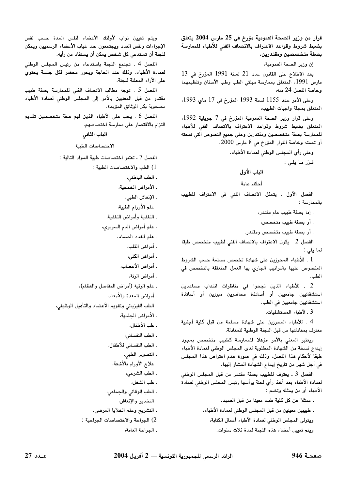قرار من وزير الصحة العمومية مؤرخ فى 25 مارس 2004 يتعلق بضبط شروط وقواعد الاعتراف بالاتصاف الفنى للأطباء للممارسة بصفة متخصصين ومقتدرين.

ان وزير الصحة العمومية،

بعد الإطلاع على القانون عدد 21 لسنة 1991 المؤرخ في 13 مارس 1991، المتعلق بممارسة مهنتي الطب وطب الأسنان وتنظيمهما وخاصة الفصل 24 منه،

وعلى الأمر عدد 1155 لسنة 1993 المؤرخ في 17 ماي 1993، المتعلق بمحلة وإحبات الطبيب

وعلى قرار وزير الصحة العمومية المؤرخ في 7 جويلية 1992، المتعلق يضبط شروط وقواعد الاعتراف بالاتصاف الفني للأطباء للممارسة بصفة متخصصين ومقتدرين وعلى حميع النصوص التي نقحته · أو تممته وخاصة القرار المؤرخ في 8 مارس 2000.

وعلى رأى المجلس الوطني لعمادة الأطباء.

قن ما بلسن:

# الباب الأول

أحكام عامة

الفصل الأول ، يتمثل الاتصاف الفني في الاعتراف للطيب بالممارسة :

. اما يصفة طبيب عام مقتدر،

ر أو يصفة طبيب متخصص،

. أو يصفة طبيب متخصص ومقتدر .

الفصل 2 . بكون الاعتراف بالاتصاف الفني لطيب متخصص طبقا  $\pm$   $\pm$   $\pm$ 

.<br>1. للأطباء المحرزين على شهادة تخصص مسلمة حسب الشروط المنصوص عليها بالتراتيب الجاري بها العمل المتعلقة بالتخصص في الطب.

.<br>2 ـ للأطباء الذين نجحوا في مناظرات انتداب مساعدين استشفائين حامعين أو أساتذة محاضرين ميرزين أو أساتذة استشفائيين حامعيين في الطب.

3 . لأطباء المستشفيات.

4 ـ للأطباء المحرزين على شهادة مسلمة من قبل كلية أجنبية معترف بمعادلتها من قبل اللحنة الوطنية للمعادلة.

ويعتبر المعنى بالأمر مؤهلا للممارسة كطبيب متخصص بمحرب ابداء نسخة من الشهادة المطلوبة لدى المجلس الوطني لعمادة الأطباء طبقاً لأحكام هذا الفصل، وذلك في صورة عدم اعتراض هذا المحلس ِ فِي أَجَلٍ شِيعٍ مِن تاريخ إبداع الشّهادة المشار اليّها.

الفصل 3 . يعترف للطبيب يصفة مقتدر من قبل المجلس الوطني .<br>العمادة الأطباء بعد أخذ رأي لحنة برأسها رئيس المجلس الوطني لعمادة الأطباء أو من بمثله وتضع .<br>الأطباء أو من بمثله وتضع

. ممثلا عن كل كلية طب، معينا من قبل العميد،

. طبيبين معينين من قبل المجلس الوطني لعمادة الأطباء، ويتولى المجلس الوطني لعمادة الأطباء أعمال الكتابة،

ويتم تعين أعضاء هذه اللجنة لمدة ثلاث سنوات.

ويتم تعبن نواب لأولئك الأعضاء لنفس المدة حسب نفس الإجراءات ونفس العدد ويحتمعون عند غياب الأعضاء الرسميين ويمكن ِ لِلْجِنَةِ أَن تِستدعى كِل شخص بِمِكن أن يستفاد من رأيه.

الفصل 4 . تحتمع اللحنة بإستدعاء من رئيس المجلس الوطني .<br>العمادة الأطباء، وذلك عند الحاجة ويجرر محضر لكل حلسة يحتوي. على الآراء المعللة للجنة.

الفصل 5 ـ توجه مطالب الاتصاف الفني للممارسة يصفة طبيب مقتدر من قبل المعنيين بالأمر إلى المجلس الوطني لعمادة الأطباء مصحوبة بكل الوثائق المؤيدة.

الفصل 6 . يجب على الأطباء الذين لهم صفة متخصصين تقديم التزام بالاقتصار على ممارسة اختصاصهم.

الباب الثانى

الاختصاصات الطبية

الفصل 7 ـ تعتد اختصاصات طبية المواد التالية :

.<br>1) الطب والاختصاصات الطبية :

. الطب الباطني،

. الأمراض الخمجية،

. الانعاش الطبي،

ـ علم الأورام الطبية،

، التغذية وأمراض التغذية،

، علم أمراض الدم السردي،

ـ علم الغدد الصماء،

ر أمراض القلب،

ر أمراض الكل*ي* 

. أمراض الأعصاب،

ر أمراض الرئة،

. علم الرثية (أمراض المفاصل والعظام)،

. أمراض المعدة والأمعاء،

. الطب الفيزيائي وتقويم الأعضاء والتأهيل الوظيف،

. الأمراض الجلدية،

ـ طب الأطفال،

. الطب النفساني،

. الطب النفساني للأطفال،

- التصوير الطبر،

- علاح الأورام بالأشعة،

. الطب الشرعي،

رطب الشغل،

. الطب الوقائي والجماعي،

. التخدن والانعاش،

. التشريح وعلم الخلايا المرضين

.) الحراجة والاختصاصات الحراجية :

. الحراجة العامة،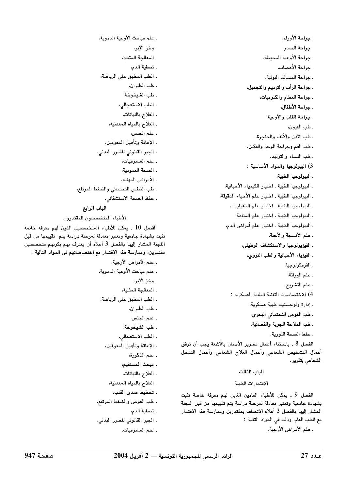. جراحة الأورام، . جراحة الصدر، . جراحة الأوعية المحيطة، . حراجة الأعصاب، . جراحة المسالك البولية، . جراحة الرأب والترميم والتجميل، . جراحة العظام والكلوميات، . جراحة الأطفال، . جراحة القلب والأوعية، ـ طب العيون، . طب الأذن والأنف والحنجرة، ـ طب الفم وجراحة الوجه والفكين، . طب النساء والتوليد. 3) البيولوجيا والمواد الأساسية : ـ البيولوحيا الطبية، . البيولوجيا الطبية . اختيار الكيمياء الأحيائية، . البيولوجيا الطبية . اختيار علم الأحياء الدقيقة، . البيولوجيا الطبية ـ اختيار علم الطفيليات، . البيولوجيا الطبية ـ اختيار علم المناعة، . البيولوجيا الطبية . اختيار علم أمراض الدم، . علم الأنسجة والأجنة، . الفيزيولوجيا والاستكشاف الوظيفي، ـ الفيزياء الأحيائية والطب النووي، ۔ الفر مکو لو حیا ، . علم الوراثة، . علم التشريح. 4) الاختصاصات التقنية الطبية العسكرية : . إدارة ولوجستيك طبية عسكرية، . طب الغوص التحتمائي البحري، . طب الملاحة الجوية والفضائية، . حفظ الصحة النووية. الفصل 8 . باستثناء أعمال تصوير الأسنان بالأشعة يجب أن ترفق

أعمال التشخيص الشعاعى وأعمال العلاج الشعاعى وأعمال التدخل الشعاعي بتقرير.

### الباب الثالث

### الاقتدارات الطبية

الفصل 9 . يمكن للأطباء العامين الذين لهم معرفة خاصة تثبت بشهادة جامعية وتعتبر معادلة لمرحلة دراسة يتم تقييمها من قبل اللجنة المشار إليها بالفصل 3 أعلاه الاتصاف بمقتدرين وممارسة هذا الاقتدار مع الطب العام، وذلك في المواد التالية :

. علم الأمراض الأرجية،

. علم مباحث الأوعية الدموية، . وخز الإبر، ـ المعالجة المثلية، . تصفية الدم، . الطب المطبق على الرياضة، . طب الطيران، . طب الشيخوخة، . الطب الاستعجالي، ـ العلاج بالنباتات، . العلاج بالمياه المعدنية، . علم الجنس، ـ الإعاقة وتأهيل المعوقين، ـ الجبر القانوني للضرر البدني، ۔ علم السموميات، ـ الصحة العمومية، . الأمراض المهنية، . طب الغطس التحتمائي والضغط المرتفع، . حفظ الصحة الاستشفائي. الباب الرابع

### الأطباء المتخصصون المقتدرون

الفصل 10 . يمكن للأطباء المتخصصين الذين لهم معرفة خاصة تثبت بشهادة جامعية وتعتبر معادلة لمرحلة دراسة يتم تقييمها من قبل اللجنة المشار إليها بالفصل 3 أعلاه أن يعترف بهم بكونهم متخصصين مقتدرين، وممارسة هذا الاقتدار مع اختصاصاتهم في المواد التالية :

> . علم الأمراض الأرجية، . علم مباحث الأوعية الدموية، . وخز الإبر، . المعالجة المثلبة، . الطب المطبق على الرياضة، . طب الطيران، . علم الجنس، . طب الشيخوخة، . الطب الاستعجالي، . الإعاقة وتأهيل المعوقين، ـ علم الذكورة، . مبحث المستقيم، . العلاج بالنباتات، . العلاج بالمياه المعدنية،

> > . تخطيط صدى القلب،

. طب الغوص والضغط المرتفع،

. تصفية الدم،

ـ الجبر القانوني للضرر البدني،

- علم السموميات.